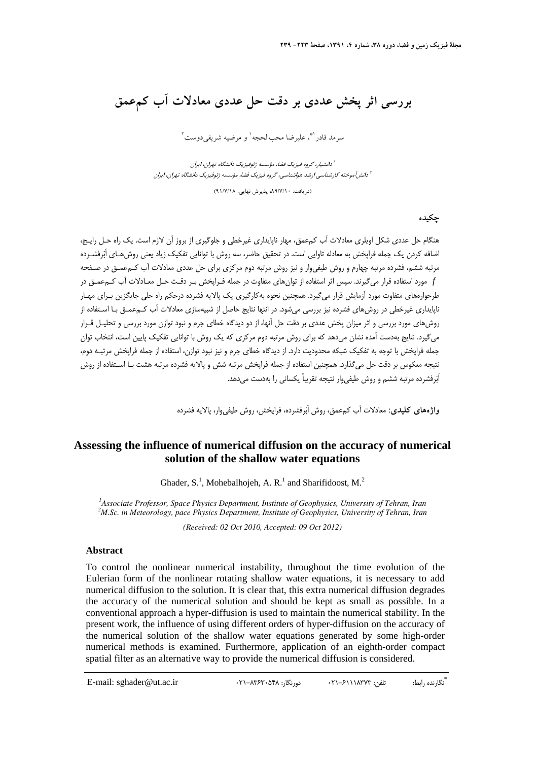# **بررسي اثر پخش عددي بر دقت حل عددي معادلات آب كمعمق**

سرمد قادر (\*، عليرضا محبالحجه <sup>١</sup> و مرضيه شريفي دوست <sup>٢</sup>

دانشيار، گروه فيزيك فضا، مؤسسه ژئوفيزيك دانشگاه تهران، ايران <sup>1</sup> <sup>1</sup> دانش آموخته كارشناسي ارشد هواشناسي، گروه فيزيک فضا، مؤسسه ژئوفيزيک دانشگاه تهران، ايران

(دريافت: ،89/7/10 پذيرش نهايي: 91/7/18)

### **چكيده**

هنگام حل عددي شكل اويلري معادلات آب كمعمق، مهار ناپايداري غيرخطي و جلوگيري از بروز آن لازم است. يك راه حـل رايـج، اضافه كردن يك جمله فراپخش به معادله تاوايي است. در تحقيق حاضر، سه روش با توانايي تفكيك زياد يعني روش هـاي اَبرفشـرده مرتبه ششم، فشرده مرتبه چهارم و روش طيفيوار و نيز روش مرتبه دوم مركزي براي حل عددي معادلات آب كـمعمـق در صـفحه *f* مورد استفاده قرار ميگيرند. سپس اثر استفاده از توانهاي متفاوت در جمله فـراپخش بـر دقـت حـل معـادلات آب كـمعمـق در طرحوارههاي متفاوت مورد آزمايش قرار ميگيرد. همچنين نحوه بهكارگيري يك پالايه فشرده درحكم راه حلي جايگزين بـراي مهـار ناپايداري غيرخطي در روشهاي فشرده نيز بررسي ميشود. در انتها نتايج حاصل از شبيهسازي معادلات آب كـمعمـق بـا اسـتفاده از روشهاي مورد بررسي و اثر ميزان پخش عددي بر دقت حل آنها، از دو ديدگاه خطاي جرم و نبود توازن مورد بررسي و تحليـل قـرار ميگيرد. نتايج بهدست آمده نشان ميدهد كه براي روش مرتبه دوم مركزي كه يك روش با توانايي تفكيك پايين است، انتخاب توان جمله فراپخش با توجه به تفكيك شبكه محدوديت دارد. از ديدگاه خطاي جرم و نيز نبود توازن، استفاده از جمله فراپخش مرتبـه دوم، نتيجه معكوس بر دقت حل ميگذارد. همچنين استفاده از جمله فراپخش مرتبه شش و پالايه فشرده مرتبه هشت بـا اسـتفاده از روش .<br>اَبَرفشرده مرتبه ششم و روش طيفي وار نتيجه تقريباً يكساني را بهدست مي دهد.

**واژههاي كليدي:** معادلات آب كمعمق، روش اَبرفشرده، فراپخش، روش طيفيوار، پالايه فشرده

# **Assessing the influence of numerical diffusion on the accuracy of numerical solution of the shallow water equations**

Ghader, S.<sup>1</sup>, Mohebalhojeh, A. R.<sup>1</sup> and Sharifidoost, M.<sup>2</sup>

<sup>1</sup> Associate Professor, Space Physics Department, Institute of Geophysics, University of Tehran, Iran <sup>2</sup>M Sex in Mateoralogy, nage Physics Department, Institute of Ceophysics, University of Tehran, Iran *M.Sc. in Meteorology, pace Physics Department, Institute of Geophysics, University of Tehran, Iran*

*(Received: 02 Oct 2010, Accepted: 09 Oct 2012)*

#### **Abstract**

 To control the nonlinear numerical instability, throughout the time evolution of the Eulerian form of the nonlinear rotating shallow water equations, it is necessary to add numerical diffusion to the solution. It is clear that, this extra numerical diffusion degrades the accuracy of the numerical solution and should be kept as small as possible. In a conventional approach a hyper-diffusion is used to maintain the numerical stability. In the present work, the influence of using different orders of hyper-diffusion on the accuracy of the numerical solution of the shallow water equations generated by some high-order numerical methods is examined. Furthermore, application of an eighth-order compact spatial filter as an alternative way to provide the numerical diffusion is considered.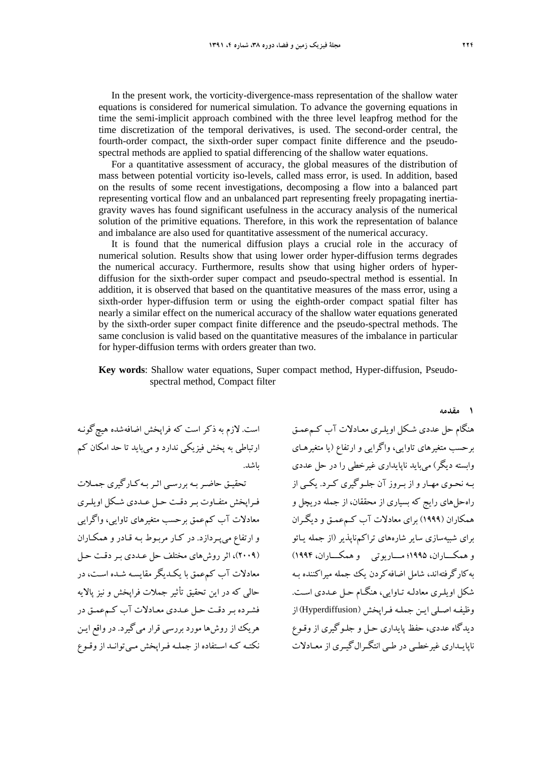In the present work, the vorticity-divergence-mass representation of the shallow water equations is considered for numerical simulation. To advance the governing equations in time the semi-implicit approach combined with the three level leapfrog method for the time discretization of the temporal derivatives, is used. The second-order central, the fourth-order compact, the sixth-order super compact finite difference and the pseudospectral methods are applied to spatial differencing of the shallow water equations.

For a quantitative assessment of accuracy, the global measures of the distribution of mass between potential vorticity iso-levels, called mass error, is used. In addition, based on the results of some recent investigations, decomposing a flow into a balanced part representing vortical flow and an unbalanced part representing freely propagating inertiagravity waves has found significant usefulness in the accuracy analysis of the numerical solution of the primitive equations. Therefore, in this work the representation of balance and imbalance are also used for quantitative assessment of the numerical accuracy.

It is found that the numerical diffusion plays a crucial role in the accuracy of numerical solution. Results show that using lower order hyper-diffusion terms degrades the numerical accuracy. Furthermore, results show that using higher orders of hyperdiffusion for the sixth-order super compact and pseudo-spectral method is essential. In addition, it is observed that based on the quantitative measures of the mass error, using a sixth-order hyper-diffusion term or using the eighth-order compact spatial filter has nearly a similar effect on the numerical accuracy of the shallow water equations generated by the sixth-order super compact finite difference and the pseudo-spectral methods. The same conclusion is valid based on the quantitative measures of the imbalance in particular for hyper-diffusion terms with orders greater than two.

**Key words**: Shallow water equations, Super compact method, Hyper-diffusion, Pseudospectral method, Compact filter

است. لازم به ذكر است كه فراپخش اضافهشده هيچگونـه ارتباطي به پخش فيزيكي ندارد و ميبايد تا حد امكان كم باشد.

.<br>تحقيـق حاضـر بـه بررسـي اثـر بـه كـار گيري جمـلات فـراپخش متفـاوت بـردقـت حـل عـددي شـكل اويلـري معادلات آب كمعمق برحسب متغيرهاي تاوايي، واگرايي و ارتفاع ميپـردازد. در كـار مربـوط بـه قـادر و همكـاران (2009)، اثر روشهاي مختلف حل عـددي بـر دقـت حـل معادلات آب كمعمق با يكـديگر مقايسـه شـده اسـت، در حالي كه در اين تحقيق تأثير جملات فراپخش و نيز پالايه فشـرده بـردقـت حـل عـددي معـ ادلات آب كـمعمـق در هريك از روشها مورد بررسي قرار ميگيرد. در واقع ايـن نكتـه كـه اسـتفاده از جملـه فـراپخش مـيتوانـد ازوقـوع هنگام حل عددي شـكل اويلـري معـادلات آب كـمعمـق برحسب متغيرهاي تاوايي، واگرايي و ارتفاع (يا متغيرهـاي وابسته ديگر) ميبايد ناپايداري غيرخطي را در حل عددي بـه نحـوي مهـار و از بـروز آن جلـوگيري كـرد. يكـي از راهحلهاي رايج كه بسياري از محققان، از جمله دريچل و همكاران (1999) براي معادلات آب كـمعمـق و ديگـران براي شبيهسازي ساير شارههاي تراكمناپذير (از جمله يـائو وهمكـــاران، 1995؛ مـــاريوتي وهمكـــاران، 1994) بهكارگرفتهاند، شامل اضافهكردن يك جمله ميراكننده بـه شكل اويلـري معادلـه تـاوايي، هنگـام حـل عـددي اسـت . وظيفـه اصـلي ايـن جملـه فـراپخش (Hyperdiffusion(از ديدگاه عددي، حفظ پايداري حـل و جلـوگيري از وقـوع ناپايـداري غيرخطـي در طـي انتگـرالگيـري از معـادلات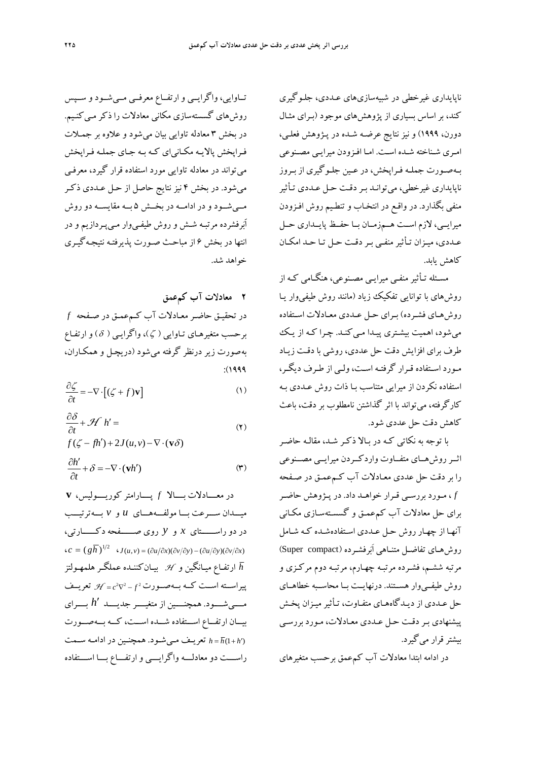ناپايداري غيرخطي در شبيهسازيهاي عـددي، جلـوگيري كند، براساس بسياري از پژوهشهاي موجود (بـراي مثـال دورن، 1999) و نيز نتايج عرضـه شـده در پـژوهش فعلـي، امـري شـناخته شـده اسـت. امـا افـزودن ميرايـي مصـنوعي بـهصـورت جملـه فـراپخش، در عـين جلـوگيري از بـروز ناپايداري غيرخطي، ميتوانـد بـر دقـت حـل عـددي تـأثير منفي بگذارد. در واقـع در انتخـاب و تنطـيم روش افـزودن ميرايــي، لازم اســت هــمزمــان بــا حفــظ پايــداري حــل عـددي، ميـزان تـأثيرمنفـي بـردقـت حـل تـا حـد امكـان كاهش يابد.

مسـئله تـأثيرمنفـي ميرايـي مصـنوعي، هنگـامي كـه از روشهاي با توانايي تفكيك زياد (مانند روش طيفيوار يـا روشهـاي فشـرده) بـراي حـل عـددي معـادلات اسـتفاده مي شود، اهميت بيشـتري پيـدا مـي كنـد. چـرا كـه از يـك طرف براي افزايش دقت حل عددي، روشي با دقـت زيـاد مـورد اسـتفاده قـرار گرفتـه اسـت،ولـي از طـرف ديگـر، استفاده نكردن از ميرايي متناسب بـا ذات روش عـددي بـه كارگرفته، ميتواند با اثر گذاشتن نامطلوب بر دقت، باعث كاهش دقت حل عددي شود.

با توجه به نكاتي كـه در بـالا ذكـر شـد، مقالـ ه حاضـر اثــرروشهــاي متفــاوت واردكــردن ميرايــي مصــنوعي را بر دقت حل عددي معـادلات آب كـمعمـق در صـفحه *f* ، مـورد بررسـي قـرار خواهـد داد. در پـژوهش حاضـر براي حل معادلات آب كمعمـق و گسسـتهسـازي مكـاني آنهـا از چهـار روش حـل عـددي اسـتفاده شـده كـه شـامل روشهـاي تفاضـل متنـاهي اَبرفشـرده (compact Super( مرتبه ششـم، فشـرده مرتبـه چهـارم، مرتبـه دوم مركـزي و روش طيفــيوار هســتند. درنهايــت بــا محاســبه خطاهــاي حل عـددي از ديـدگاههـاي متفـاوت، تـأثير ميـزان پخـش پيشنهادي بـردقـت حـل عـددي معـادلات ، مـورد بررسـي بيشترقرار ميگيرد.

در ادامه ابتدا معادلات آب كمعمق برحسب متغيرهاي

تــاوايي، واگرايــي وارتفــاع معرفــي مــيشــود و ســپس روش هاي گسستهسازي مكاني معادلات را ذكر مـي كنـيم. در بخش 3 معادله تاوايي بيان ميشود و علاوه بر جمـلات فـراپخش پالايـه مكـانياي كـه بـه جـاي جملـه فـراپخش ميتواند در معادله تاوايي مورد استفاده قرار گيرد، معرفـي ميشود. در بخش 4 نيز نتايج حاصل از حـل عـددي ذكـر مــيشــود و در ادامــه در بخــش 5 بــه مقايســه دوروش اَبرفشرده مرتبـه شـش و روش طيفـيوار مـيپـردازيم و در انتها در بخش 6 از مباحـث صـورت پذيرفتـه نتيجـهگيـري خواهد شد.

**2 معادلات آب كمعمق**  در تحقيـق حاضـرمعـادلات آب كـمعمـق در صـفحه *f* برحسب متغيرهـاي تـاوايي ( ζ )، واگرايـي ( δ ) و ارتفـاع بهصورت زير درنظر گرفته ميشود (دريچـل و همكـاران، :(1999

$$
\frac{\partial \zeta}{\partial t} = -\nabla \cdot \left[ (\zeta + f) \mathbf{v} \right]
$$
 (1)

$$
\frac{\partial \delta}{\partial t} + \mathcal{H} h' =
$$
  
 
$$
f(\zeta - fh') + 2J(u, v) - \nabla \cdot (\mathbf{v}\delta)
$$
 (7)

$$
\frac{\partial h'}{\partial t} + \delta = -\nabla \cdot (\mathbf{v}h')
$$
 (†)

\n
$$
V
$$
\n

\n\n $V$ \n

\n\n $V$ \n

\n\n $V$ \n

\n\n $V$ \n

\n\n $V$ \n

\n\n $V$ \n

\n\n $V$ \n

\n\n $V$ \n

\n\n $V$ \n

\n\n $V$ \n

\n\n $V$ \n

\n\n $V$ \n

\n\n $V$ \n

\n\n $V$ \n

\n\n $V$ \n

\n\n $V$ \n

\n\n $V$ \n

\n\n $V$ \n

\n\n $V$ \n

\n\n $V$ \n

\n\n $V$ \n

\n\n $V$ \n

\n\n $V$ \n

\n\n $V$ \n

\n\n $V$ \n

\n\n $V$ \n

\n\n $V$ \n

\n\n $V$ \n

\n\n $V$ \n

\n\n $V$ \n

\n\n $V$ \n

\n\n $V$ \n

\n\n $V$ \n

\n\n $V$ \n

\n\n $V$ \n

\n\n $V$ \n

\n\n $V$ \n

\n\n $V$ \n

\n\n $V$ \n

\n\n $V$ \n

\n\n $V$ \n

\n\n $V$ \n

\n\n $V$ \n

\n\n $V$ \n

\n\n $V$ \n

\n\n $V$ \n

\n\n $V$ \n

\n\n $V$ \n

\n\n $V$ \n

\n\n $V$ \n

\n\n $V$ \n

\n\n $V$ \n

\n\n $V$ \n

\n\n $V$ 

راســـت دو معادلـــه واگرايـــي وارتفـــاع بـــا اســـتفاده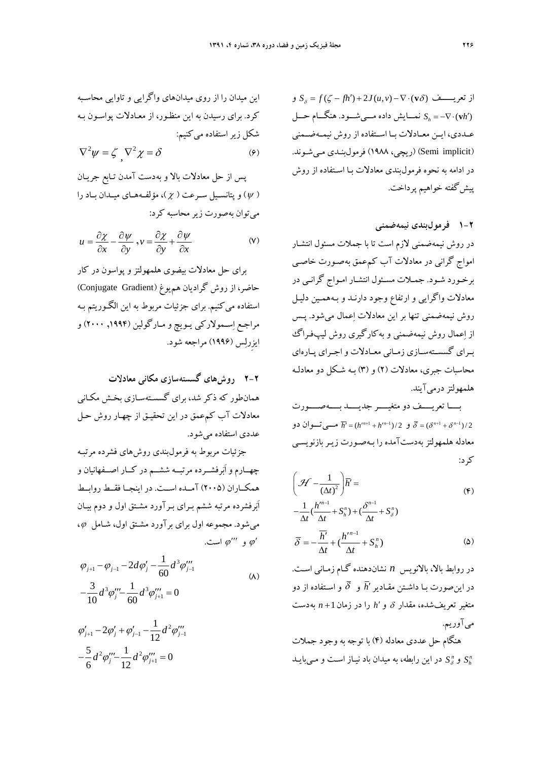از تعريـــــف  $S_{\delta} = f(\zeta - fh') + 2J(u,v) - \nabla \cdot (\mathbf{v}\delta)$  و  $S_h = -\nabla \cdot (\mathbf{v} h')$  نمــــايش داده مـــي شـــود. هنگــــام حـــل عــددي، ايــن معــادلات بــا اســتفاده از روش نيمــهضــمني (Semi implicit) (ريچي، ۱۹۸۸) فرمولبنـدي مـي شـوند. در ادامه به نحوه فرمولبندي معادلات بـا اسـتفاده از روش پيشگفته خواهيم پرداخت.

**1-2 فرمولبندي نيمهضمني**  در روش نيمهضمني لازم است تا با جملات مسئول انتشـار امواج گراني در معادلات آب كمعمق بهصـورت خاصـي برخـورد شـود. جمـلات مسـئول انتشـار امـواج گرانـي در معادلات واگرايي و ارتفاع وجود دارنـد و بـههمـين دليـل روش نيمهضمني تنها بر اين معادلات اعمال ميشود. پـس از اعمال روش نيمهضمني و بهكارگيري روش ليپفـراگ بــراي گسســتهســازي زمــاني معــادلات واجــراي پــارهاي محاسبات جبري، معادلات (2) و (3) بـه شـكل دو معادلـه هلمهولتز درميآيند.

بــــا تعريــــف دو متغيــــر جديــــد بــــهصــــورت و  $\overline{h} = (h'^{n+1} + h'^{n-1})/2$  مـــي تــوان دو  $\overline{\delta} = (\delta^{n+1} + \delta^{n-1})/2$ معادله هلمهولتز بهدستآمده را بـهصـورت زيـربازنويسـي كرد:

$$
\left(\mathcal{H} - \frac{1}{\left(\Delta t\right)^2}\right)\overline{h}' =
$$
\n
$$
-\frac{1}{\Delta t} \left(\frac{h^{m-1}}{\Delta t} + S_h^n\right) + \left(\frac{\delta^{n-1}}{\Delta t} + S_\delta^n\right)
$$
\n
$$
(*)
$$

$$
\Delta t \quad \Delta t \qquad \Delta t
$$
\n
$$
\overline{\delta} = -\frac{\overline{h}'}{\Delta t} + (\frac{h'^{n-1}}{\Delta t} + S_h^n)
$$
\n
$$
(2)
$$

در روابط بالا، بالانويس *n* نشاندهنده گـام زمـاني اسـت. در اينصورت بـا داشـتن مقـادير*h* و و اسـتفاده از دو متغير تعريفشده، مقدار و*h* را در زمان1 *n* بهدست ميآوريم.

هنگام حل عددي معادله (4) با توجه به وجود جملات در اين رابطه، به ميدان باد نيـاز اسـت و بايـد *S* مـي *<sup>n</sup>*و *Sh <sup>n</sup>*

اين ميدان را از روي ميدانهاي واگرايي و تاوايي محاسـبه كرد. براي رسيدن به اين منظـور، از معـادلات پواسـون بـه شكل زيراستفاده ميكنيم:

$$
\nabla^2 \psi = \zeta \, \nabla^2 \chi = \delta \tag{9}
$$

پس از حل معادلات بالا و بهدست آمدن تـابع جريـان (  $(y)$  ) و پتانســيل ســرعت (  $(x$  )، مؤلفــههــاي ميــدان بــاد را ميتوان بهصورت زيرمحاسبه كرد:

$$
u = \frac{\partial \chi}{\partial x} - \frac{\partial \psi}{\partial y}, v = \frac{\partial \chi}{\partial y} + \frac{\partial \psi}{\partial x}
$$
 (V)

براي حل معادلات بيضوي هلمهولتز و پواسون در كار حاضر، از روش گراديان هم<sub>ي</sub>وغ (Conjugate Gradient) استفاده ميكنيم. براي جزئيات مربوط به اين الگـوريتم بـه مراجـع اسـمولاركي يـويچ و مـارگولين (,1994 2000) و ايزِرلس (1996) مراجعه شود.

**2-2 روشهاي گسستهسازي مكاني معادلات**  همانطور كه ذكر شد، براي گسسـتهسـازي بخـش مكـاني معادلات آب كمعمق در اين تحقيـق از چهـار روش حـل عددي استفاده ميشود.

جزئيات مربوط به فرمولبندي روشهاي فشرده مرتبـه چهــارم و اَبرفشــرده مرتبــه ششــم در كــار اصــفهانيان و همكــاران (2005) آمــده اســت. در اينجــا فقــط روابــط اَبرفشرده مرتبه ششم بـراي بـرآورد مشـتق اول و دوم بيـان ميشود. مجموعه اول براي برآورد مشـتق اول، شـامل ، و  $\varphi''$  است.  $\varphi'$ 

$$
\varphi_{j+1} - \varphi_{j-1} - 2d\varphi'_j - \frac{1}{60}d^3\varphi'''_{j-1}
$$
  

$$
-\frac{3}{10}d^3\varphi'''_{j} - \frac{1}{60}d^3\varphi'''_{j+1} = 0
$$
 (A)

$$
\varphi'_{j+1} - 2\varphi'_{j} + \varphi'_{j-1} - \frac{1}{12}d^{2}\varphi'''_{j-1}
$$

$$
-\frac{5}{6}d^{2}\varphi'''_{j} - \frac{1}{12}d^{2}\varphi'''_{j+1} = 0
$$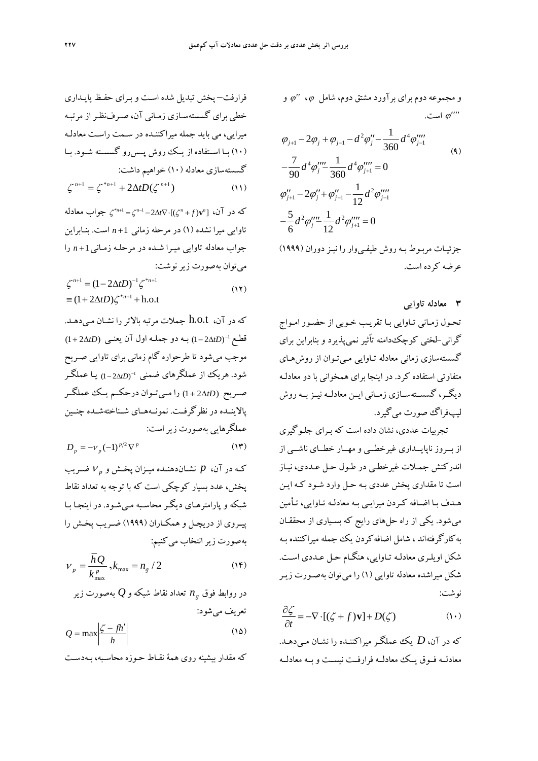و مجموعه دوم براي برآورد مشتق دوم، شامل  $\varphi$ ، " $\varphi$  و است.  $\varphi'''$ 

$$
\varphi_{j+1} - 2\varphi_j + \varphi_{j-1} - d^2 \varphi_j'' - \frac{1}{360} d^4 \varphi_j'''
$$
\n
$$
- \frac{7}{90} d^4 \varphi_j''' - \frac{1}{360} d^4 \varphi_{j+1}''' = 0
$$
\n
$$
\varphi_{j+1}'' - 2\varphi_j'' + \varphi_{j-1}'' - \frac{1}{12} d^2 \varphi_{j-1}'''
$$
\n
$$
- \frac{5}{6} d^2 \varphi_j''' - \frac{1}{12} d^2 \varphi_{j+1}''' = 0
$$
\n(4)

جزئيـات مربـوط بـه روش طيفـيوار را نيـزدوران (1999) عرضه كرده است.

**3 معادله تاوايي** 

تحـول زمـاني تـاوايي بـا تقريـب خـوبي از حضـور امـواج گراني-لختي كوچكدامنه تاًثير نميپذيرد و بنابراين براي گسستهسازي زماني معادله تـاوايي مـيتـوان از روشهـاي متفاوتي استفاده كرد. در اينجا براي همخواني با دو معادلـه ديگــر، گسســتهســازي زمــاني ايــن معادلــه نيــزبــه روش ليپفراگ صورت ميگيرد.

تجربيات عددي، نشان داده است كه بـراي جلـوگيري از بــروز ناپايــداري غيرخطــي و مهــار خطــاي ناشــي از اندركنش جمـلات غيرخطـي در طـول حـل عـددي، نيـاز است تا مقداري پخش عددي بـه حـل وارد شـود كـه ايـن هـدف بـا اضـافه كـردن ميرايـي بـه معادلـه تـاوايي، تـأمين ميشود. يكي از راه حلهاي رايج كه بسـياري از محققـان بهكارگرفتهاند ، شامل اضافهكردن يك جمله ميراكننده بـه شكل اويلـري معادلـه تـاوايي، هنگـام حـل عـددي اسـت . شكل ميراشده معادله تاوايي (1) را ميتوان بهصـورت زيـر نوشت:

$$
\frac{\partial \zeta}{\partial t} = -\nabla \cdot [(\zeta + f)\mathbf{v}] + D(\zeta) \tag{1}
$$

كه در آن، *D* يك عملگـر ميراكننـده را نشـان مـي دهـد. معادلــه فــوق يــك معادلــه فرارفــت نيســت و بــه معادلــه

فرارفت– پخش تبديل شده اسـت و بـراي حفـظ پايـداري خطي براي گسستهسـازي زمـاني آن، صـرفنظـراز مرتبـه ميرايي، مي بايد جمله ميراكننـده در سـمت راسـت معادلـ ه (10) بـا اسـتفاده از يـك روش پــسرو گسسـته شـود. بــا گسستهسازي معادله (10) خواهيم داشت: 2 ( ) (11) <sup>1</sup> \* <sup>1</sup> <sup>1</sup> *<sup>n</sup> <sup>n</sup> <sup>n</sup> tD*

که در آن،  $\int_0^{\infty}$  ( i(  $\zeta^{n+1} = \zeta^{n-1} - 2\Delta t \nabla \cdot$   $\int_0^{\infty}$  حواب معادله تاوايي ميرا نشده (1) در مرحله زماني 1 *n* است. بنـابراين جواب معادله تاوايي ميـرا شـده در مرحلـه زمـاني1 *n* را ميتوان بهصورت زيرنوشت:

$$
\zeta^{n+1} = (1 - 2\Delta t D)^{-1} \zeta^{*_{n+1}}
$$
  
\n
$$
\equiv (1 + 2\Delta t D) \zeta^{*_{n+1}} + \text{h.o.t}
$$
 (17)

كه در آن، t.o.h جملات مرتبه بالاتر را نشـان مـيدهـد. ( 2 1) <sup>1</sup> قطـع *tD* بـه دو جملـه اول آن يعنـي (*tD*2 1 ( موجب ميشود تا طرحواره گام زماني براي تاوايي صـريح شود. هريك از عملگرهاى ضمنى 1-<sub>(</sub>1-2∆*tD)* يـا عملگـر صــريح (*tD*2 1 (را مــيتــوان درحكــم يــك عملگــر پالاينــده در نظرگرفــت. نمونــههــاي شــناختهشــده چنــين عملگرهايي بهصورت زيراست:

$$
D_p = -\nu_p (-1)^{p/2} \nabla^p \tag{17}
$$

*<sup>p</sup>* ضـريب كـه در آن، *p* نشـاندهنـده ميـزان پخـش و پخش، عدد بسيار كوچكي است كه با توجه به تعداد نقاط شبكه و پارامترهـاي ديگـر محاسـبه مـيشـود. در اينجـا بـا پيـروي از دريچـل و همكـاران (1999) ضـريب پخـش را بهصورت زير انتخاب مي كنيم:

$$
V_p = \frac{\bar{h}Q}{k_{\text{max}}^p}, k_{\text{max}} = n_g / 2
$$
 (1F)

تعداد نقاط شبكه و*Q* بهصورت زير *ng* در روابط فوق تعريف ميشود:

$$
Q = \max \left| \frac{\zeta - fh'}{h} \right| \tag{12}
$$

كه مقدار بيشينه روي همة نقـاط حـوزه محاسـبه، بـهدسـت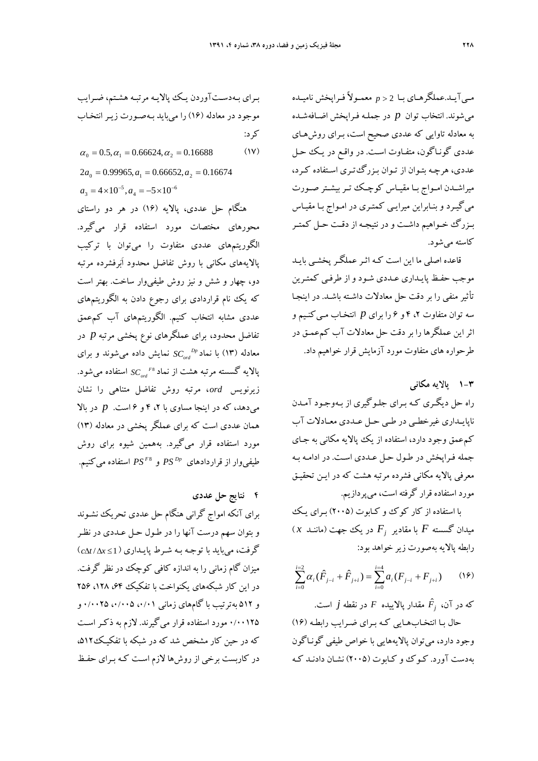مـيآيـد.عملگرهـاي بـا 2 *p* معمـولاً فـراپخش ناميـده ميشوند. انتخاب توان *p* در جملـه فـراپخش اضـافهشـده به معادله تاوايي كه عددي صحيح است، بـراي روشهـاي عددي گونـاگون، متفـاوت اسـت. در واقـع در يـك حـل عددي، هرچـه بتـوان از تـوان بـزرگتـري اسـتفاده كـرد، ميراشـدن امــواج بـا مقيــاس كوچــك تـربيشــتر صــورت ميگيـرد و بنـابراين ميرايـي كمتـري در امـواج بـا مقيـاس بـزرگ خـواهيم داشـت و در نتيجـه از دقـت حـل كمتـر كاسته ميشود.

قاعده اصلي ما اين است كـه اثـر عملگـر پخشـي بايـد موجب حفـظ پايـداري عـددي شـود و از طرفـي كمتـرين تأثير منفي را بر دقت حل معادلات داشـته باشـد. در اينجـا سه توان متفاوت ،2 4 و 6 را براي *p* انتخـاب مـيكنـيم و اثر اين عملگرها را بر دقت حل معادلات آب كمعمـق در طرحواره هاي متفاوت مورد آزمايش قرار خواهيم داد.

**1-3 پالايه مكاني**  راه حل ديگـري كـه بـراي جلـوگيري از بـه وجـود آمـدن ناپايـداري غيرخطـي در طـي حـل عـددي معـادلات آب كمعمق وجود دارد، استفاده از يك پالايه مكاني به جـاي جمله فـراپخش در طـول حـل عـددي اسـت . در ادامـه بـه معرفي پالايه مكاني فشرده مرتبه هشت كه در ايـن تحقيـق مورد استفاده قرار گرفته است، ميپردازيم.

با استفاده از كار كوك و كـابوت (2005) بـراي يـك  $(x \sim x)$ سيدان گسسته  $F$  با مقادير  $F$  در يك جهت (ماننــد رابطه پالايه بهصورت زير خواهد بود:

$$
\sum_{i=0}^{i=2} \alpha_i (\hat{F}_{j-i} + \hat{F}_{j+i}) = \sum_{i=0}^{i=4} a_i (F_{j-i} + F_{j+i}) \qquad (19)
$$

*<sup>F</sup>* مقدار پالاييده *<sup>F</sup>* در نقطه *j* است. *<sup>j</sup>* كه در آن، <sup>ˆ</sup> حال بـا انتخـابهـايي كـه بـراي ضـرايب رابطـ ه (16) وجود دارد، ميتوان پالايههايي با خواص طيفي گونـاگون بهدست آورد. كـوك و كـابوت (2005) نشـان دادنـد كـه

بـراي بـهدسـتآوردن يـك پالايـه مرتبـه هشـتم، ضـرايب موجود در معادله (16) را ميبايد بـهصـورت زيـر انتخـاب كرد:

$$
\alpha_0 = 0.5, \alpha_1 = 0.66624, \alpha_2 = 0.16688 \tag{1V}
$$

$$
2a_0 = 0.99965, a_1 = 0.66652, a_2 = 0.16674
$$
  
 $a_3 = 4 \times 10^{-5}, a_4 = -5 \times 10^{-6}$ 

هنگام حل عددي، پالايه (16) در هر دو راستاي محورهاي مختصات مورد استفاده قرار ميگيرد. الگوريتمهاي عددي متفاوت را ميتوان با تركيب پالايههاي مكاني با روش تفاضل محدود اَبرفشرده مرتبه دو، چهار و شش و نيز روش طيفيوار ساخت. بهتر است كه يك نام قراردادي براي رجوع دادن به الگوريتمهاي عددي مشابه انتخاب كنيم. الگوريتمهاي آب كمعمق تفاضل محدود، براي عملگرهاي نوع پخشي مرتبه *p* در نمايش داده شوند و براي *SCord* مي *Dp* معادله (13) با نماد 8*F* پالايه گسسته مرتبه هشت از نماد *SC* استفاده ميشود. *ord* زيرنويس *ord* ، مرتبه روش تفاضل متناهي را نشان ميدهد، كه در اينجا مساوي با ،2 4 و 6 است. *p* در بالا همان عددي است كه براي عملگر پخشي در معادله (13) مورد استفاده قرار ميگيرد. بههمين شيوه براي روش *PS* استفاده ميكنيم. <sup>8</sup>*<sup>F</sup> PS* و *Dp* طيفيوار از قراردادهاي

**4 نتايج حل عددي**  براي آنكه امواج گراني هنگام حل عددي تحريك نشـوند و بتوان سهم درست آنها را در طـول حـل عـددي در نظـر گرفت، ميبايد با توجـه بـه شـرط پايـداري (1 *x*/ *ct* ( ميزان گام زماني را به اندازه كافي كوچك در نظر گرفت. در اين كار شبكههاي يكنواخت با تفكيك ،4۴، ۱۲۸، ۲۵۶ و ۵۱۲ بهترتيب با گامهاي زماني ۰/۰۰۱ ،۰/۰۰۵ ۰/۰۰۲ 0/00125 مورد استفاده قرار ميگيرند. لازم به ذكـر اسـت كه در حين كار مشخص شد كه در شبكه با تفكيـك،512 در كاربست برخي از روشها لازم اسـت كـه بـراي حفـظ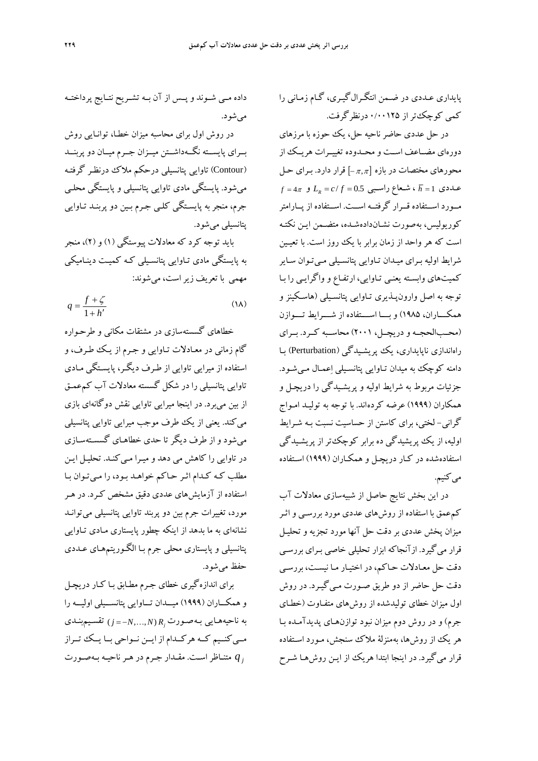داده مــي شــوند و پــس از آن بــه تشــريح نتــايج پرداختــه ميشود. در روش اول براي محاسبه ميزان خطـا، توانـايي روش بــراي پايســته نگــهداشــتن ميــزان جــرم ميــان دو پربنــد (Contour (تاوايي پتانسيلي درحكم ملاك درنظـر گرفتـه ميشود. پايستگي مادي تاوايي پتانسيلي و پايستگي محلـي جرم، منجربه پايسـتگي كلـي جـرم بـين دو پربنـد تـاوايي پتانسيلي ميشود.

بايد توجه كرد كه معادلات پيوستگي (1) و (2)، منجر به پايستگي مادي تـاوايي پتانسـيلي كـه كميـت دينـاميكي مهمي با تعريف زيراست، ميشوند:

$$
q = \frac{f + \zeta}{1 + h'}
$$
 (1A)

خطاهاي گسستهسازي در مشتقات مكاني و طرحـواره گام زماني در معـادلات تـاوايي و جـرم از يـك طـرف، و استفاده از ميرايي تاوايي از طـرف ديگـر، پايسـتگي مـادي تاوايي پتانسيلي را در شكل گسسته معادلات آب كمعمـق از بين ميبرد. در اينجا ميرايي تاوايي نقش دوگانهاي بازي ميكند. يعني از يك طرف موجب ميرايي تاوايي پتانسيلي ميشود و از طرف ديگر تا حدي خطاهـاي گسسـتهسـازي در تاوايي را كاهش مي دهد و ميـرا مـي كنـد. تحليـل ايـن مطلب كـه كـدام اثـر حـاكم خواهـد بـود، را مـيتـوان بـا استفاده از آزمايشهاي عددي دقيق مشخص كـرد. در هـر مورد، تغييرات جرم بين دو پربند تاوايي پتانسيلي ميتوانـد نشانهاي به ما بدهد از اينكه چطور پايستاري مـادي تـاوايي پتانسيلي و پايستاري محلي جرم بـا الگـوريتمهـاي عـددي حفظ ميشود.

براي اندازهگيري خطاي جـرم مطـابق بـا كـار دريچـل وهمكـــاران (1999) ميـــدان تـــاوايي پتانســـيلي اوليـــه را بـهصـورت ناحيههـايي به *N N Rj* تقسـيمبنـدي ) *j* ,, ) مــيكنــيم كــه هركــدام از ايــن نــواحي بــا يــك تــراز متنـاظر . مقـدار جـرم در هـرناحيـه بـهصـورت *<sup>j</sup> q* اسـت

پايداري عـددي در ضـمن انتگـرالگيـري، گـام زمـاني را كمي كوچكتراز 0/00125 درنظرگرفت.

در حل عددي حاضر ناحيه حل، يك حوزه با مرزهاي دورهاي مضــاعف اســت و محــدوده تغييــرات هريــك از محورهاي مختصات در بازه [ $-\pi,\pi$ ] قرار دارد. بـراي حـل  $f = 4\pi$  ، شـعاع راسـبي  $L_R = c/f = 0.5$  و  $\overline{h} = 1$   $\overline{h} = 1$ مــورد اســتفاده قــرار گرفتــه اســت . اســتفاده از پــارامتر كوريوليس، بهصورت نشـاندادهشـده، متضـمن ايـن نكتـه است كه هر واحد از زمان برابر با يك روز است. با تعيـين شرايط اوليه بـراي ميـدان تـاوايي پتانسـيلي مـيتـوان سـاير كميتهاي وابسـته يعنـي تـاوايي، ارتفـاع و واگرايـي را بـا توجه به اصل وارونپـذيري تـاوايي پتانسـيلي (هاسـكينز و همكـــاران، 1985) وبـــا اســـتفاده از شـــرايط تـــوازن (محــبالحجــه و دريچــل، 2001) محاســبه كــرد. بــراي راهاندازي ناپايداري، يك پريشـيدگي (Perturbation (بـا دامنه كوچك به ميدان تـاوايي پتانسـيلي اعمـال مـيشـود. جزئيات مربوط به شرايط اوليه و پريشـيدگي را دريچـل و همكاران (1999) عرضه كردهاند. با توجه به توليـد امـواج گراني- لختي، براي كاستن از حساسيت نسبت بـه شـرايط اوليه، از يك پريشيدگي ده برابر كوچكتر از پريشـيدگي استفادهشده در كـار دريچـل و همكـاران (1999) اسـتفاده مي كنيم.

در اين بخش نتايج حاصل از شبيهسازي معادلات آب كمعمق با استفاده از روشهاي عددي مورد بررسـي و اثـر ميزان پخش عددي بردقت حل آنها مورد تجزيه وتحليـل قرار ميگيرد. ازآنجاكه ابزار تحليلي خاصي بـراي بررسـي دقت حل معـادلات حـاكم، در اختيـار مـا نيسـت، بررسـي دقت حل حاضر از دو طريق صـورت مـيگيـرد. در روش اول ميزان خطاي توليدشده از روشهاي متفـاوت (خطـاي جرم) و در روش دوم ميزان نبود توازنهـاي پديدآمـده بـا هر يك از روشها، بهمنزلة ملاك سنجش، مـورد اسـتفاده قرار ميگيرد. در اينجا ابتدا هريك از ايـن روشهـا شـرح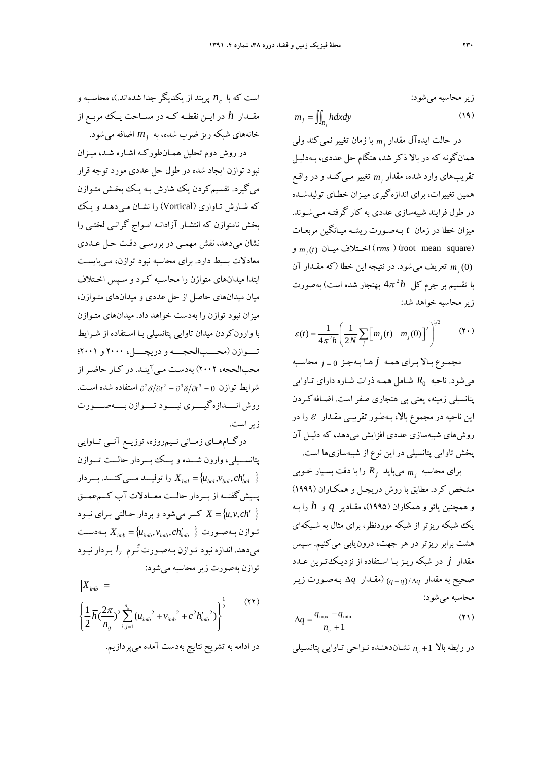زیر محاسبه میشود:  
\n
$$
m_j = \iint_{R_j} h dx dy
$$
 (19)

با زمان تغيير نميكند ولي *<sup>j</sup> m* در حالت ايدهآل مقدار همانگونه كه در بالا ذكر شد، هنگام حل عددي، بـهدليـل تغيير كنـد و در واقـع *mj* مـي تقريبهاي وارد شده، مقدار همين تغييرات، براي اندازهگيري ميـزان خطـاي توليدشـده در طول فرايند شبيهسازي عددي به كار گرفتـه مـيشـوند. ميزان خطا در زمان *t* بـهصـورت ريشـه ميـانگين مربعـات *m* (*t*) ميــان اخــتلاف) *rms* ) (root mean square) *<sup>j</sup>* و شود. در نتيجه اين خطا (كه مقـدار آن *<sup>j</sup> m* تعريف مي (0) 4 بهنجار شده است) بهصورت <sup>2</sup> با تقسيم بر جرم كل *h* زيرمحاسبه خواهد شد:

$$
\mathcal{E}(t) = \frac{1}{4\pi^2 \overline{h}} \left( \frac{1}{2N} \sum_{j} \left[ m_j(t) - m_j(0) \right]^2 \right)^{1/2} \tag{1.}
$$

مجمـوع بـالا بـراي همـه *j* هـا بـهجـز <sup>0</sup> *<sup>j</sup>* محاسـبه *R* شـامل همـه ذرات شـاره داراي تـاوايي <sup>0</sup> ميشود. ناحيه پتانسيلي زمينه، يعني بي هنجاري صفر است. اضـافهكـردن اين ناحيه در مجموع بالا، بـهطـور تقريبـي مقـدار  $\, \varepsilon \,$  را در روشهاي شبيهسازي عددي افزايش ميدهد، كه دليـل آن پخش تاوايي پتانسيلي در اين نوع از شبيهسازيها است.

*R* را با دقت بسـيار خـوبي *<sup>j</sup>* ميبايد *<sup>j</sup> m* براي محاسبه مشخص كرد. مطابق با روش دريچـل و همكـاران (1999) و همچنين يائو و همكاران (1995)، مقـادير *q* و *h* را بـه يك شبكه ريزتر از شبكه موردنظر، براي مثال به شـبكهاي هشت برابر ريزتر در هر جهت، درونيابي ميكنيم. سـپس مقدار *j* در شبكه ريـز بـا اسـتفاده از نزديـكتـرين عـدد صحيح به مقدار *<sup>q</sup>* /)*<sup>q</sup> <sup>q</sup>*) (مقـدار *q* بـهصـورت زيـر محاسبه ميشود:

$$
\Delta q = \frac{q_{\text{max}} - q_{\text{min}}}{n_c + 1} \tag{11}
$$

*n* نشـان دهنـده نـواحي تـاوايي پتانسـيلي *<sup>c</sup>* در رابطه بالا 1

*n* پربند از يكديگر جدا شده اند.)، محاسـبه و *<sup>c</sup>* است كه با مقــدار *h* در ايــن نقطــه كــه در مســاحت يــك مربــع از خانههاي شبكه ريز ضرب شده، به *mj* اضافه ميشود.

در روش دوم تحليل همـانطوركـه اشـاره شـد، ميـزان نبود توازن ايجاد شده در طول حل عددي مورد توجه قرار ميگيرد. تقسيمكردن يك شارش بـه يـك بخـش متـوازن كه شـارش تـاواري (Vortical) را نشـان مـيدهـد و يـك بخش نامتوازن كه انتشـار آزادانـه امـواج گرانـي لختـي را نشان ميدهد، نقش مهمـي در بررسـي دقـت حـل عـددي معادلات بسيط دارد. براي محاسبه نبود توازن، مـيبايسـت ابتدا ميدانهاي متوازن را محاسـبه كـرد و سـپس اخـتلاف ميان ميدانهاي حاصل از حل عددي و ميدانهاي متـوازن، ميزان نبود توازن را بهدست خواهد داد. ميدانهاي متـوازن با وارونكردن ميدان تاوايي پتانسيلي بـا اسـتفاده از شـرايط تــــوازن (محــــبالحجــــه و دريچــــل، 2000 و 2001؛ محبالحجه، 2002) بهدسـت مـيآينـد. در كـار حاضـراز شرايط توازن 0 = 3 $\partial^3\delta/\partial t^2 = \partial^3\delta/\partial t^2 = \partial^4$  استفاده شده است. روش انــــدازهگيــــري نبــــود تــــوازن بــــهصــــورت زيراست.

درگــامهــاي زمــاني نــيمروزه، توزيــع آنــي تــاوايي پتانســـيلي، وارون شـــده ويـــك بـــردار حالـــت تـــوازن را توليــــد مـــي $\sum_{bal}$  بـــردار . $X_{bal} = \{u_{bal}, v_{bal}, ch_{bal}'\}$ پــيشگفتــه از بــردار حالــت معــادلات آب كــمعمــق *ch*,*v*,*u X* كسر ميشود و بردار حـالتي بـراي نبـود  $X_{\text{imb}} = \{u_{\text{imb}}, v_{\text{imb}}, c h'_{\text{imb}} \mid \}$  بـهدسـت *l* بـردار نبـود <sup>2</sup> ميدهد. اندازه نبود تـوازن بـهصـورت نُـرم توازن بهصورت زيرمحاسبه ميشود:

$$
||X_{imb}|| = \left\{\frac{1}{2}\overline{h}(\frac{2\pi}{n_g})^2 \sum_{i,j=1}^{n_g} (u_{imb}^2 + v_{imb}^2 + c^2 h'_{imb}^2)\right\}^{\frac{1}{2}}
$$
 (YY)

در ادامه به تشريح نتايج بهدست آمده ميپردازيم.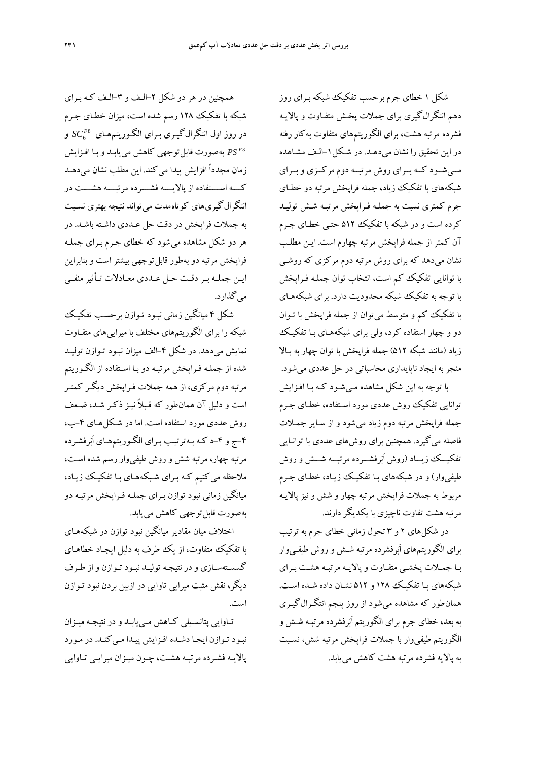همچنين در هر دو شكل -2الـف و -3الـف كـه بـراي شبكه با تفكيك 128 رسم شده است، ميزان خطـاي جـرم 8 در روز اول انتگرالگيـري بـراي الگـوريتمهـاي 6 *<sup>F</sup>* و *SC PS* بهصورت قابلتوجهي كاهش مييابـد و بـا افـزايش <sup>8</sup> *<sup>F</sup>* زمان مجدداً افزايش پيدا مي كند. اين مطلب نشان مي دهـد كــــه اســــتفاده از پالايــــه فشــــرده مرتبــــه هشــــت در انتگرال گيري هاي كوتاه مدت مي تواند نتيجه بهتري نسـبت به جملات فراپخش در دقت حل عـددي داشـته باشـد. در هر دو شكل مشاهده ميشود كه خطاي جـرم بـراي جملـه فراپخش مرتبه دو بهطور قابل توجهي بيشتر است و بنابراين ايـن جملـه بـردقـت حـل عـددي معـادلات تـأثيرمنفـي ميگذارد.

شكل 4 ميانگين زماني نبـود تـوازن برحسـب تفكيـك شبكه را براي الگوريتمهاي مختلف با ميراييهاي متفـاوت نمايش ميدهد. در شكل ۴-الف ميزان نبـود تـوازن توليـد شده از جملـه فـراپخش مرتبـه دو بـا اسـتفاده از الگـوريتم مرتبه دوم مركزي، از همه جملات فـراپخش ديگـر كمتـر است و دليل آن همانطور كه قـبلاً نيـز ذكـر شـد، ضـعف روش عددي مورد استفاده است. اما در شـكل هـاي -4ب، -4ج و -4د كـه بـهترتيـب بـراي الگـوريتمهـاي اَبرفشـرده مرتبه چهار، مرتبه شش و روش طيفي وار رسم شده اسـت، ملاحظه مي كنيم كـه بـراي شـبكه هـاي بـا تفكيـك زيـاد، ميانگين زماني نبود توازن بـراي جملـه فـراپخش مرتبـه دو بهصورت قابلتوجهي كاهش مييابد.

اختلاف ميان مقادير ميانگين نبود توازن در شبكههـاي با تفكيك متفاوت، از يك طرف به دليل ايجـاد خطاهـاي گسسـتهسـازي و در نتيجـه توليـد نبـود تـوازن و از طـرف ديگر، نقش مثبت ميرايي تاوايي در ازبين بردن نبود تـوازن است.

تـاوايي پتانسـيلي كـاهش مـييابـد و در نتيجـه ميـزان نبـود تـوازن ايجـا دشـده افـزايش پيـدا مـي كنـد. در مـورد پالايـه فشـرده مرتبـه هشـت، چـون ميـزان ميرايـي تـاوايي شكل 1 خطاي جرم برحسب تفكيك شبكه بـراي روز دهم انتگرالگيري براي جملات پخـش متفـاوت و پالايـه فشرده مرتبه هشت، براي الگوريتمهاي متفاوت بهكار رفته در اين تحقيق را نشان ميدهـد. در شـكل-1الـف مشـاهده مــيشــود كــه بــراي روش مرتبــه دوم مركــزي وبــراي شبكههاي با تفكيك زياد، جمله فراپخش مرتبه دو خطـاي جرم كمتري نسبت به جملـه فـراپخش مرتبـه شـش توليـد كرده است و در شبكه با تفكيك 512 حتـي خطـاي جـرم آن كمتر از جمله فراپخش مرتبه چهارم است. ايـن مطلـب نشان ميدهد كه براي روش مرتبه دوم مركزي كه روشـي با توانايي تفكيك كم است، انتخاب توان جملـه فـراپخش با توجه به تفكيك شبكه محدوديت دارد. براي شبكههـاي با تفكيك كم و متوسط ميتوان از جمله فراپخش با تـوان دو و چهار استفاده كرد، ولي براي شبكههـاي بـا تفكيـك زياد (مانند شبكه 512) جمله فراپخش با توان چهار به بـالا منجربه ايجاد ناپايداري محاسباتي در حل عددي ميشود. با توجه به اين شكل مشاهده مـيشـود كـه بـا افـزايش توانايي تفكيك روش عددي مورد اسـتفاده، خطـاي جـرم جمله فراپخش مرتبه دوم زياد ميشود و از سـاير جمـلات فاصله ميگيرد. همچنين براي روشهاي عددي با توانـايي تفكيـــك زيـــاد (روش اَبرفشـــرده مرتبـــه شـــش وروش طيفيوار) و در شبكههاي بـا تفكيـك زيـاد، خطـاي جـرم مربوط به جملات فراپخش مرتبه چهار و شش و نيزپالايـه مرتبه هشت تفاوت ناچيزي با يكديگردارند.

در شكلهاي 2 و 3 تحول زماني خطاي جرم به ترتيب براي الگوريتمهاي اَبرفشرده مرتبه شـش وروش طيفـيوار بـا جمـلات پخشـي متفـاوت و پالايـه مرتبـه هشـت بـراي شبكههاي بـا تفكيـك 128 و 512 نشـان داده شـده اسـت. همانطور كه مشاهده ميشود از روز پنجم انتگـرالگيـري به بعد، خطاي جرم براي الگوريتم اَبرفشرده مرتبـه شـش و الگوريتم طيفيوار با جملات فراپخش مرتبه شش، نسـبت به پالايه فشرده مرتبه هشت كاهش مييابد.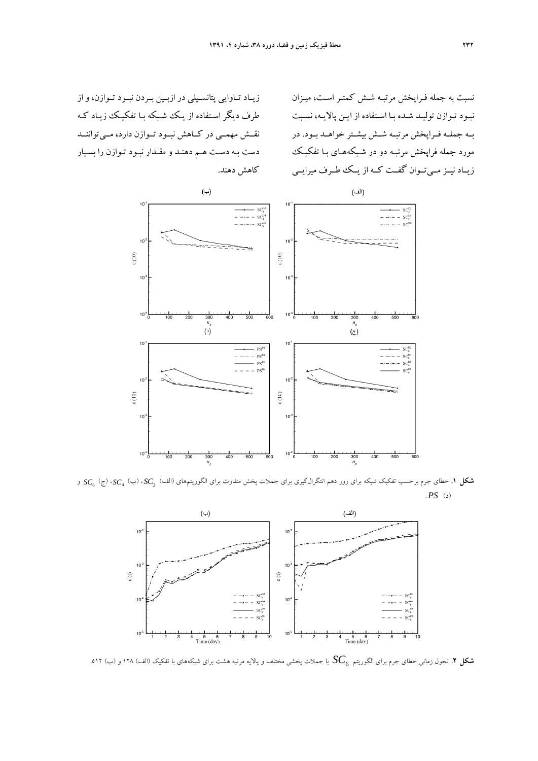زيــاد تــاوايي پتانســيلي در ازبــين بــردن نبــود تــوازن، و از طرف ديگر اسـتفاده از يـك شـبكه بـا تفكيـك زيـاد كـه نقــش مهمــي در كــاهش نبــود تــوازن دارد، مــي تواننــد دست بـه دسـت هـم دهنـد و مقـدار نبـود تـوازن را بسـيار كاهش دهند. نسبت به جمله فـراپخش مرتبـه شـش كمتـر اسـت، ميـزان نبـود تـوازن توليـد شـده بـا اسـتفاده از ايـن پالايـه، نسـبت بــه جملــه فــراپخش مرتبــه شــش بيشــتر خواهــد بــود. در مورد جمله فراپخش مرتبـه دو در شـبكههـاي بـا تفكيـك زيــاد نيــزمــيتــوان گفــت كــه از يــك طــرف ميرايــي



<sup>6</sup>*SC* و <sup>2</sup> **شكل .1** خطاي جرم برحسب تفكيك شبكه براي روز دهم انتگرالگيري براي جملات پخش متفاوت براي الگوريتمهاي (الف) *SC* ،) ب) 4*SC* ،) ج) (د) *PS* .



*SC* با جملات پخشي مختلف <sup>و</sup> پالايه مرتبه هشت براي شبكههاي با تفكيك (الف) 128 <sup>و</sup> (ب) .512 <sup>6</sup> **شكل .2** تحول زماني خطاي جرم براي الگوريتم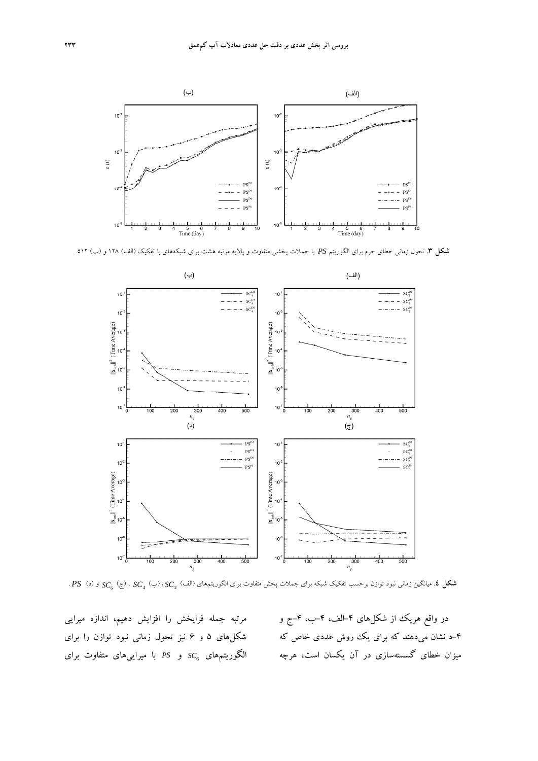

**شكل .3** تحول زماني خطاي جرم براي الگوريتم *PS* با جملات پخشي متفاوت و پالايه مرتبه هشت براي شبكههاي با تفكيك (الف) 128 و (ب) .512



*SC* ،) ب) 4*SC* ،) ج) 6*SC* و (د) *PS* . <sup>2</sup> **شكل .4** ميانگين زماني نبود توازن برحسب تفكيك شبكه براي جملات پخش متفاوت براي الگوريتمهاي (الف)

مرتبه جمله فراپخش را افزايش دهيم، اندازه ميرايي شكلهاي 5 و 6 نيز تحول زماني نبود توازن را براي *SC* و *PS* با ميراييهاي متفاوت براي <sup>6</sup> الگوريتمهاي

در واقع هريك از شكلهاى ۴-الف، ۴-ب، ۴-ج و -4 د نشان ميدهند كه براي يك روش عددي خاص كه ميزان خطاي گسستهسازي در آن يكسان است، هرچه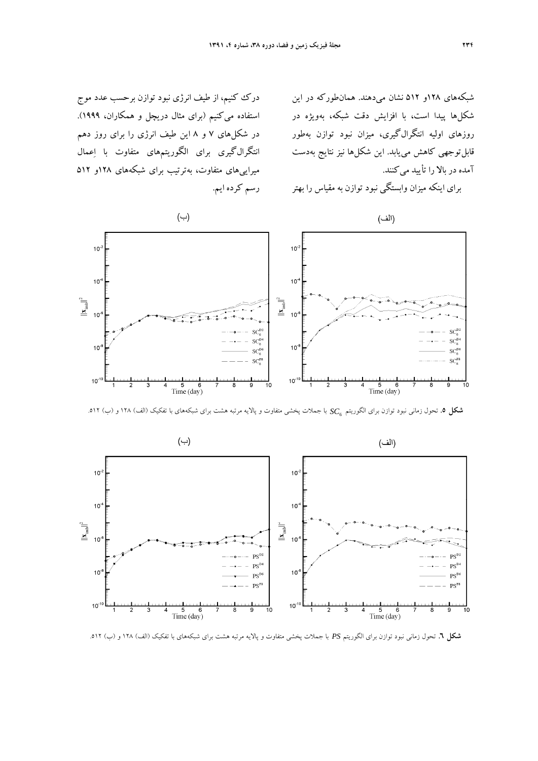درك كنيم، از طيف انرژي نبود توازن برحسب عدد موج استفاده ميكنيم (براي مثال دريچل و همكاران، 1999). در شكلهاي 7 و 8 اين طيف انرژي را براي روز دهم انتگرالگيري براي الگوريتمهاي متفاوت با اعمال ميراييهاي متفاوت، بهترتيب براي شبكههاي 128و 512

شبكههاي 128و 512 نشان ميدهند. همانطوركه در اين شكلها پيدا است، با افزايش دقت شبكه، بهويژه در روزهاي اوليه انتگرالگيري، ميزان نبود توازن بهطور قابلتوجهي كاهش مييابد. اين شكلها نيز نتايج بهدست آمده در بالا را تأييد ميكنند.

براي اينكه ميزان وابستگي نبود توازن به مقياس را بهتر



رسم كرده ايم.

*SC* با جملات پخشي متفاوت و پالايه مرتبه هشت براي شبكههاي با تفكيك (الف) 128 و (ب) .512 <sup>6</sup> **شكل .5** تحول زماني نبود توازن براي الگوريتم



**شكل .6** تحول زماني نبود توازن براي الگوريتم *PS* با جملات پخشي متفاوت و پالايه مرتبه هشت براي شبكههاي با تفكيك (الف) 128 و (ب) .512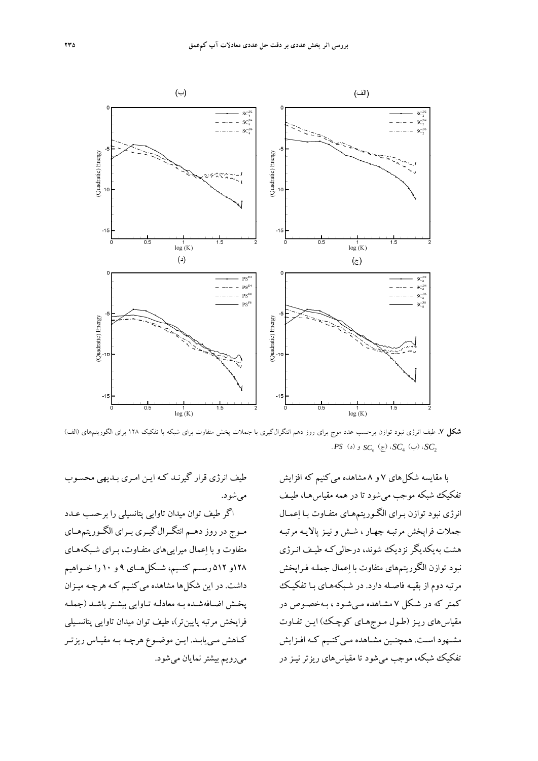

**شكل .7** طيف انرژي نبود توازن برحسب عدد موج براي روز دهم انتگرالگيري با جملات پخش متفاوت براي شبكه با تفكيك 128 براي الگوريتمهاي (الف) <sup>6</sup>*SC* و (د) *PS* . <sup>2</sup> *SC* ،) ب) 4*SC* ،) ج)

با مقايسه شكلهاي 7 و 8 مشاهده ميكنيم كه افزايش تفكيك شبكه موجب ميشود تا در همه مقياسهـا، طيـف انرژي نبود توازن بـراي الگـوريتمهـاي متفـاوت بـا اعمـال جملات فراپخش مرتبـه چهـار ، شـش و نيـز پالايـ ه مرتبـه هشت بهيكديگر نزديك شوند، درحاليكـه طيـف انـرژي نبود توازن الگوريتمهاي متفاوت با اعمال جملـه فـراپخش مرتبه دوم از بقيـه فاصـله دارد. در شـبكههـاي بـا تفكيـك كمتر كه در شـكل 7 مشـاهده مـيشـود ، بـهخصـوص در مقياسهاي ريـز (طـول مـوجهـاي كوچـك) ايـن تفـاوت مشـهود اسـت. همچنـين مشـاهده مـيكنـيم كـه افــزايش تفكيك شبكه، موجب ميشود تا مقياسهاي ريزتر نيـز در

طيف انرژي قرار گيرنـد كـه ايـن امـري بـديهي محسـوب ميشود.

اگر طيف توان ميدان تاوايي پتانسيلي را برحسب عـدد مــوج در روز دهــم انتگــرالگيــري بــراي الگــوريتمهــاي متفاوت و با اعمال ميراييهاي متفـاوت، بـراي شـبكههـاي 128و 512 رســم كنــيم، شــكلهــاي 9 و 10 را خــواهيم داشت. در اين شكلها مشاهده مي كنـيم كـه هرچـه ميـزان پخـش اضـافهشـده بـه معادلـه تـاوايي بيشـترباشـد (جملـه فراپخش مرتبه پايينتر)، طيف توان ميدان تاوايي پتانسـيلي كـاهش مـييابـد. ايـن موضـوع هرچـه بـه مقيـاس ريزتـر ميرويم بيشترنمايان ميشود.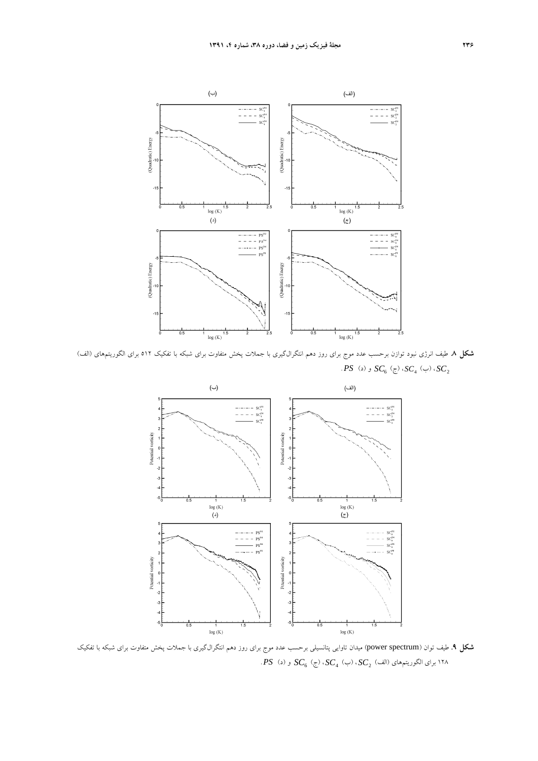

**شكل .8** طيف انرژي نبود توازن برحسب عدد موج براي روز دهم انتگرالگيري با جملات پخش متفاوت براي شبكه با تفكيك 512 براي الگوريتمهاي (الف) *SC* ،) ب) 4*SC* ،) ج) 6*SC* و (د) *PS* . <sup>2</sup>



**شكل .9** طيف توان (spectrum power (ميدان تاوايي پتانسيلي برحسب عدد موج براي روز دهم انتگرالگيري با جملات پخش متفاوت براي شبكه با تفكيك *SC* ،) ب) 4*SC* ،) ج) 6*SC* و (د) *PS* . <sup>2</sup> 128 براي الگوريتمهاي (الف)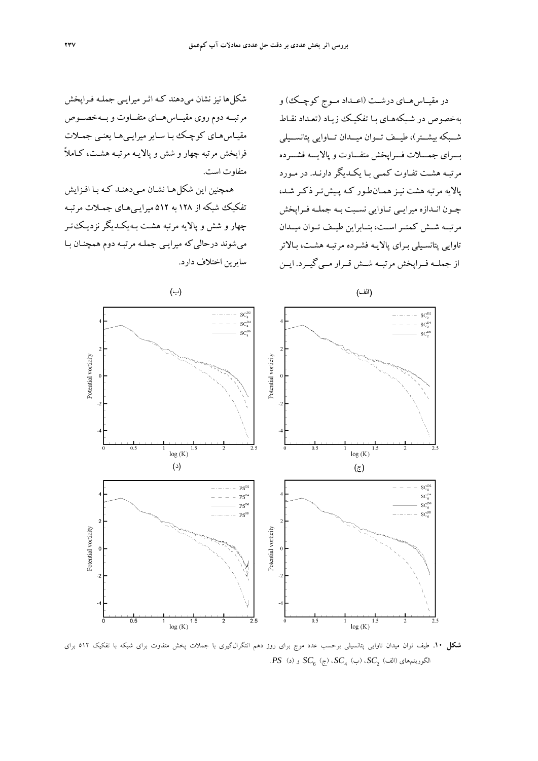در مقيــاسهــاي درشــت (اعــداد مــوج كوچــك) و بهخصوص در شـبكههـاي بـا تفكيـك زيـاد (تعـداد نقـاط شــبكه بيشــتر)، طيــف تــوان ميــدان تــاوايي پتانســيلي بـــراي جمـــلات فـــراپخش متفـــاوت و پالايـــه فشـــرده مرتبـه هشـت تفـاوت كمـي بـا يكـديگردارنـد. در مـورد پالايه مرتبه هشت نيـز همـانطـور كـه پـيشتـر ذكـر شـد، چــون انــدازه ميرايــي تــاوايي نســبت بــه جملــه فــراپخش مرتبــه شــش كمتــراســت، بنــابراين طيــف تــوان ميــدان تاوايي پتانسـيلي بـراي پالايـه فشـرده مرتبـه هشـت، بـالاتر از جملــه فــراپخش مرتبــه شــش قــرار مــيگيــرد. ايــن

شكلها نيز نشان ميدهند كـه اثـرميرايـي جملـه فـراپخش مرتبــه دوم روي مقيــاسهــاي متفــاوت و بــهخصــوص مقيـاسهـاي كوچـك بـا سـايرميرايـيهـا يعنـي جمـلات فراپخش مرتبه چهار و شش و پالايـه مرتبـه هشـت، كـاملاً متفاوت است.

همچنين اين شكلهـا نشـان مـيدهنـد كـه بـا افـزايش تفكيك شبكه از 128 به 512 ميرايـيهـاي جمـلات مرتبـه چهار و شش و پالايه مرتبه هشـت بـهيكـديگر نزديـكتـر ميشوند درحاليكه ميرايـي جملـه مرتبـه دوم همچنـان بـا سايرين اختلاف دارد.



**شكل .10** طيف توان ميدان تاوايي پتانسيلي برحسب عدد موج براي روز دهم انتگرالگيري با جملات پخش متفاوت براي شبكه با تفكيك 512 براي  $PS$  (د)  $SC_{6}$  (ج)  $SC_{4}$  (ب)  $SC_{2}$  (د)  $SC_{2}$  .  $SU_{2}$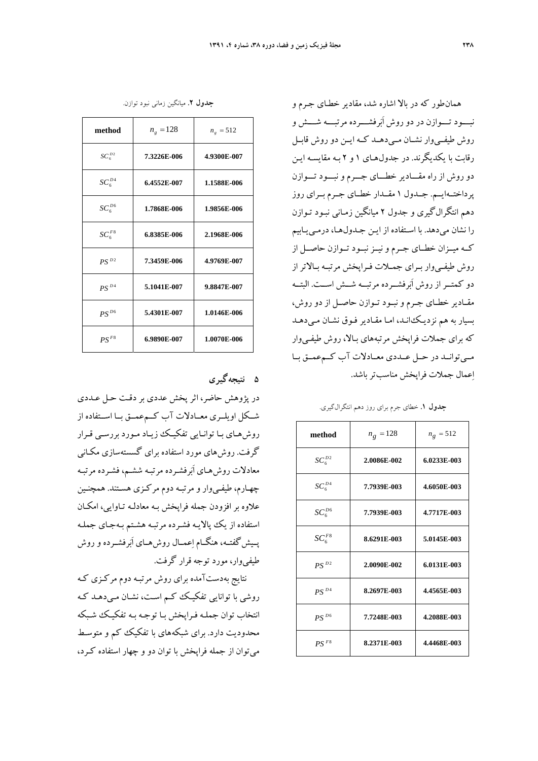همانطور كه در بالا اشاره شد، مقادير خطـاي جـرم و نبـــود تـــوازن در دوروش اَبرفشـــرده مرتبـــه شـــش و روش طيفــيوار نشــان مــيدهــد كــه ايــن دوروش قابــل رقابت با يكديگرند. در جدولهـاي 1 و 2 بـه مقايسـه ايـن دوروش از راه مقـــادير خطـــاي جـــرم ونبـــود تـــوازن پرداختــهايــم. جــدول 1 مقــدار خطــاي جــرم بــراي روز دهم انتگرالگيري و جدول 2 ميانگين زمـاني نبـود تـوازن را نشان ميدهد. با اسـتفاده از ايـن جـدولهـا، درمـييـابيم كــه ميــزان خطــاي جــرم و نيــز نبــود تــوازن حاصــل از روش طيفـيوار بـراي جمـلات فـراپخش مرتبـه بـالاتراز دو كمتــراز روش اَبرفشــرده مرتبــه شــش اســت. البتــه مقــادير خطــاي جــرم ونبــود تــوازن حاصــل از دوروش، بسيار به هم نزديـكانـد، امـا مقـادير فـوق نشـان مـي دهـد كه براي جملات فراپخش مرتبههاي بـالا، روش طيفـيوار مــيتوانــد در حــل عــددي معــادلات آب كــمعمــق بــا اعمال جملات فراپخش مناسبترباشد.

**جدول .1** خطاي جرم براي روز دهم انتگرالگيري.

| method      | $n_g = 128$ | $n_g = 512$ |
|-------------|-------------|-------------|
| $SC_6^{D2}$ | 2.0086E-002 | 6.0233E-003 |
| $SC_6^{D4}$ | 7.7939E-003 | 4.6050E-003 |
| $SC_6^{D6}$ | 7.7939E-003 | 4.7717E-003 |
| $SC_6^{F8}$ | 8.6291E-003 | 5.0145E-003 |
| $PS^{D2}$   | 2.0090E-002 | 6.0131E-003 |
| $PS^{D4}$   | 8.2697E-003 | 4.4565E-003 |
| $PS^{D6}$   | 7.7248E-003 | 4.2088E-003 |
| $PSF^8$     | 8.2371E-003 | 4.4468E-003 |

|  |  |  | جدول ۲. میانگین زمان <sub>ی</sub> نبود توازن. |  |  |
|--|--|--|-----------------------------------------------|--|--|
|--|--|--|-----------------------------------------------|--|--|

| method      | $n_{g} = 128$ | $n_{g} = 512$ |
|-------------|---------------|---------------|
| $SC_6^{D2}$ | 7.3226E-006   | 4.9300E-007   |
| $SC_6^{D4}$ | 6.4552E-007   | 1.1588E-006   |
| $SC_6^{D6}$ | 1.7868E-006   | 1.9856E-006   |
| $SC_6^{F8}$ | 6.8385E-006   | 2.1968E-006   |
| $PS^{D2}$   | 7.3459E-006   | 4.9769E-007   |
| $PS^{D4}$   | 5.1041E-007   | 9.8847E-007   |
| $PS^{D6}$   | 5.4301E-007   | 1.0146E-006   |
| $PS^{F8}$   | 6.9890E-007   | 1.0070E-006   |

**5 نتيجهگيري** 

در پژوهش حاضر، اثر پخش عددي بر دقـت حـل عـددي شــكل اويلــري معــادلات آب كــمعمــق بــا اســتفاده از روشهـاي بـا توانـايي تفكيـك زيـاد مـورد بررسـي قـرار گرفت. روشهاي مورد استفاده براي گسستهسازي مكـاني معادلات روشهـاي اَبرفشـرده مرتبـه ششـم، فشـرده مرتبـه چهـارم، طيفـيوار و مرتبـه دوم مركـزي هسـتند. همچنـين علاوه بر افزودن جمله فراپخش بـه معادلـه تـاوايي، امكـان استفاده از يك پالايـه فشـرده مرتبـه هشـتم بـه جـاي جملـه پــيشگفتــه، هنگــام اعمــال روشهــاي اَبرفشــرده وروش طيفيوار، مورد توجه قرار گرفت.

نتايج بهدستآمده براي روش مرتبـه دوم مركـزي كـه روشي با توانايي تفكيـك كـم اسـت، نشـان مـي دهـد كـه انتخاب توان جملـه فـراپخش بـا توجـه بـه تفكيـك شـبكه محدوديت دارد. براي شبكههاي با تفكيك كم و متوسـط ميتوان از جمله فراپخش با توان دو و چهار استفاده كـرد،